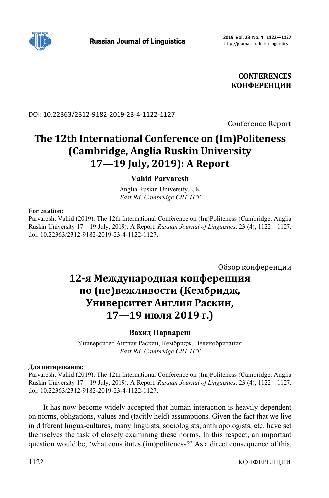

**CONFERENCES КОНФЕРЕНЦИИ**

DOI: 10.22363/2312-9182-2019-23-4-1122-1127

Conference Report

# **The 12th International Conference on (Im)Politeness (Cambridge, Anglia Ruskin University 17—19 July, 2019): A Report**

# **Vahid Parvaresh**

Anglia Ruskin University, UK *East Rd, Cambridge CB1 1PT* 

## **For citation:**

Parvaresh, Vahid (2019). The 12th International Conference on (Im)Politeness (Cambridge, Anglia Ruskin University 17—19 July, 2019): A Report. *Russian Journal of Linguistics*, 23 (4), 1122—1127. doi: 10.22363/2312-9182-2019-23-4-1122-1127.

Обзор конференции

# **12-я Международная конференция по (не)вежливости (Кембридж, Университет Англия Раскин, 17—19 июля 2019 г.)**

## **Вахид Парвареш**

Университет Англия Раскин, Кембридж, Великобритания *East Rd, Cambridge CB1 1PT* 

## **Для цитирования:**

Parvaresh, Vahid (2019). The 12th International Conference on (Im)Politeness (Cambridge, Anglia Ruskin University 17—19 July, 2019): A Report. *Russian Journal of Linguistics*, 23 (4), 1122—1127. doi: 10.22363/2312-9182-2019-23-4-1122-1127.

It has now become widely accepted that human interaction is heavily dependent on norms, obligations, values and (tacitly held) assumptions. Given the fact that we live in different lingua-cultures, many linguists, sociologists, anthropologists, etc. have set themselves the task of closely examining these norms. In this respect, an important question would be, 'what constitutes (im)politeness?' As a direct consequence of this,

1122 КОНФЕРЕНЦИИ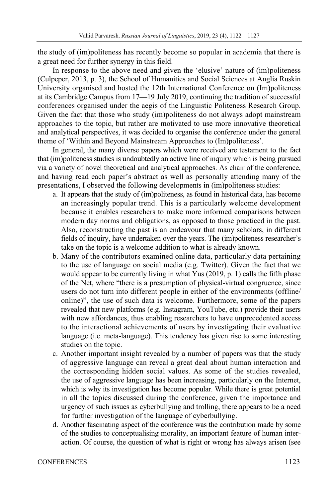the study of (im)politeness has recently become so popular in academia that there is a great need for further synergy in this field.

In response to the above need and given the 'elusive' nature of (im)politeness (Culpeper, 2013, p. 3), the School of Humanities and Social Sciences at Anglia Ruskin University organised and hosted the 12th International Conference on (Im)politeness at its Cambridge Campus from 17—19 July 2019, continuing the tradition of successful conferences organised under the aegis of the Linguistic Politeness Research Group. Given the fact that those who study (im)politeness do not always adopt mainstream approaches to the topic, but rather are motivated to use more innovative theoretical and analytical perspectives, it was decided to organise the conference under the general theme of 'Within and Beyond Mainstream Approaches to (Im)politeness'.

In general, the many diverse papers which were received are testament to the fact that (im)politeness studies is undoubtedly an active line of inquiry which is being pursued via a variety of novel theoretical and analytical approaches. As chair of the conference, and having read each paper's abstract as well as personally attending many of the presentations, I observed the following developments in (im)politeness studies:

- a. It appears that the study of (im)politeness, as found in historical data, has become an increasingly popular trend. This is a particularly welcome development because it enables researchers to make more informed comparisons between modern day norms and obligations, as opposed to those practiced in the past. Also, reconstructing the past is an endeavour that many scholars, in different fields of inquiry, have undertaken over the years. The (im)politeness researcher's take on the topic is a welcome addition to what is already known.
- b. Many of the contributors examined online data, particularly data pertaining to the use of language on social media (e.g. Twitter). Given the fact that we would appear to be currently living in what Yus (2019, p. 1) calls the fifth phase of the Net, where "there is a presumption of physical-virtual congruence, since users do not turn into different people in either of the environments (offline/ online)", the use of such data is welcome. Furthermore, some of the papers revealed that new platforms (e.g. Instagram, YouTube, etc.) provide their users with new affordances, thus enabling researchers to have unprecedented access to the interactional achievements of users by investigating their evaluative language (i.e. meta-language). This tendency has given rise to some interesting studies on the topic.
- c. Another important insight revealed by a number of papers was that the study of aggressive language can reveal a great deal about human interaction and the corresponding hidden social values. As some of the studies revealed, the use of aggressive language has been increasing, particularly on the Internet, which is why its investigation has become popular. While there is great potential in all the topics discussed during the conference, given the importance and urgency of such issues as cyberbullying and trolling, there appears to be a need for further investigation of the language of cyberbullying.
- d. Another fascinating aspect of the conference was the contribution made by some of the studies to conceptualising morality, an important feature of human interaction. Of course, the question of what is right or wrong has always arisen (see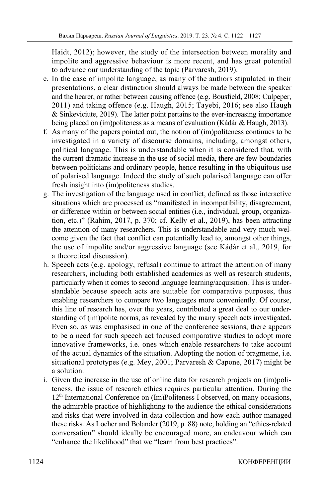Haidt, 2012); however, the study of the intersection between morality and impolite and aggressive behaviour is more recent, and has great potential to advance our understanding of the topic (Parvaresh, 2019).

- e. In the case of impolite language, as many of the authors stipulated in their presentations, a clear distinction should always be made between the speaker and the hearer, or rather between causing offence (e.g. Bousfield, 2008; Culpeper, 2011) and taking offence (e.g. Haugh, 2015; Tayebi, 2016; see also Haugh & Sinkeviciute, 2019). The latter point pertains to the ever-increasing importance being placed on (im)politeness as a means of evaluation (Kádár & Haugh, 2013).
- f. As many of the papers pointed out, the notion of (im)politeness continues to be investigated in a variety of discourse domains, including, amongst others, political language. This is understandable when it is considered that, with the current dramatic increase in the use of social media, there are few boundaries between politicians and ordinary people, hence resulting in the ubiquitous use of polarised language. Indeed the study of such polarised language can offer fresh insight into (im)politeness studies.
- g. The investigation of the language used in conflict, defined as those interactive situations which are processed as "manifested in incompatibility, disagreement, or difference within or between social entities (i.e., individual, group, organization, etc.)" (Rahim, 2017, p. 370; cf. Kelly et al., 2019), has been attracting the attention of many researchers. This is understandable and very much welcome given the fact that conflict can potentially lead to, amongst other things, the use of impolite and/or aggressive language (see Kádár et al., 2019, for a theoretical discussion).
- h. Speech acts (e.g. apology, refusal) continue to attract the attention of many researchers, including both established academics as well as research students, particularly when it comes to second language learning/acquisition. This is understandable because speech acts are suitable for comparative purposes, thus enabling researchers to compare two languages more conveniently. Of course, this line of research has, over the years, contributed a great deal to our understanding of (im)polite norms, as revealed by the many speech acts investigated. Even so, as was emphasised in one of the conference sessions, there appears to be a need for such speech act focused comparative studies to adopt more innovative frameworks, i.e. ones which enable researchers to take account of the actual dynamics of the situation. Adopting the notion of pragmeme, i.e. situational prototypes (e.g. Mey, 2001; Parvaresh & Capone, 2017) might be a solution.
- i. Given the increase in the use of online data for research projects on (im)politeness, the issue of research ethics requires particular attention. During the  $12<sup>th</sup>$  International Conference on (Im)Politeness I observed, on many occasions, the admirable practice of highlighting to the audience the ethical considerations and risks that were involved in data collection and how each author managed these risks. As Locher and Bolander (2019, p. 88) note, holding an "ethics-related conversation" should ideally be encouraged more, an endeavour which can "enhance the likelihood" that we "learn from best practices".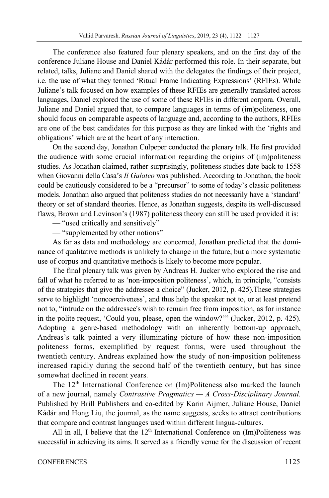The conference also featured four plenary speakers, and on the first day of the conference Juliane House and Daniel Kádár performed this role. In their separate, but related, talks, Juliane and Daniel shared with the delegates the findings of their project, i.e. the use of what they termed 'Ritual Frame Indicating Expressions' (RFIEs). While Juliane's talk focused on how examples of these RFIEs are generally translated across languages, Daniel explored the use of some of these RFIEs in different corpora. Overall, Juliane and Daniel argued that, to compare languages in terms of (im)politeness, one should focus on comparable aspects of language and, according to the authors, RFIEs are one of the best candidates for this purpose as they are linked with the 'rights and obligations' which are at the heart of any interaction.

On the second day, Jonathan Culpeper conducted the plenary talk. He first provided the audience with some crucial information regarding the origins of (im)politeness studies. As Jonathan claimed, rather surprisingly, politeness studies date back to 1558 when Giovanni della Casa's *Il Galateo* was published. According to Jonathan, the book could be cautiously considered to be a "precursor" to some of today's classic politeness models. Jonathan also argued that politeness studies do not necessarily have a 'standard' theory or set of standard theories. Hence, as Jonathan suggests, despite its well-discussed flaws, Brown and Levinson's (1987) politeness theory can still be used provided it is:

— "used critically and sensitively"

— "supplemented by other notions"

As far as data and methodology are concerned, Jonathan predicted that the dominance of qualitative methods is unlikely to change in the future, but a more systematic use of corpus and quantitative methods is likely to become more popular.

The final plenary talk was given by Andreas H. Jucker who explored the rise and fall of what he referred to as 'non-imposition politeness', which, in principle, "consists of the strategies that give the addressee a choice" (Jucker, 2012, p. 425).These strategies serve to highlight 'noncoerciveness', and thus help the speaker not to, or at least pretend not to, "intrude on the addressee's wish to remain free from imposition, as for instance in the polite request, 'Could you, please, open the window?'" (Jucker, 2012, p. 425). Adopting a genre-based methodology with an inherently bottom-up approach, Andreas's talk painted a very illuminating picture of how these non-imposition politeness forms, exemplified by request forms, were used throughout the twentieth century. Andreas explained how the study of non-imposition politeness increased rapidly during the second half of the twentieth century, but has since somewhat declined in recent years.

The 12<sup>th</sup> International Conference on (Im)Politeness also marked the launch of a new journal, namely *Contrastive Pragmatics — A Cross-Disciplinary Journal*. Published by Brill Publishers and co-edited by Karin Aijmer, Juliane House, Daniel Kádár and Hong Liu, the journal, as the name suggests, seeks to attract contributions that compare and contrast languages used within different lingua-cultures.

All in all, I believe that the  $12<sup>th</sup>$  International Conference on (Im)Politeness was successful in achieving its aims. It served as a friendly venue for the discussion of recent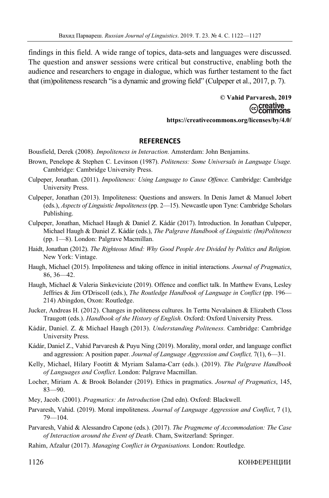findings in this field. A wide range of topics, data-sets and languages were discussed. The question and answer sessions were critical but constructive, enabling both the audience and researchers to engage in dialogue, which was further testament to the fact that (im)politeness research "is a dynamic and growing field" (Culpeper et al., 2017, p. 7).

> **© Vahid Parvaresh, 2019**  creative ommons **https://creativecommons.org/licenses/by/4.0/**

### **REFERENCES**

Bousfield, Derek (2008). *Impoliteness in Interaction.* Amsterdam: John Benjamins.

- Brown, Penelope & Stephen C. Levinson (1987). *Politeness: Some Universals in Language Usage.* Cambridge: Cambridge University Press.
- Culpeper, Jonathan. (2011). *Impoliteness: Using Language to Cause Offence.* Cambridge: Cambridge University Press.
- Culpeper, Jonathan (2013). Impoliteness: Questions and answers. In Denis Jamet & Manuel Jobert (eds.), *Aspects of Linguistic Impoliteness* (pp. 2—15). Newcastle upon Tyne: Cambridge Scholars Publishing.
- Culpeper, Jonathan, Michael Haugh & Daniel Z. Kádár (2017). Introduction. In Jonathan Culpeper, Michael Haugh & Daniel Z. Kádár (eds.), *The Palgrave Handbook of Linguistic (Im)Politeness* (pp. 1—8). London: Palgrave Macmillan.
- Haidt, Jonathan (2012). *The Righteous Mind: Why Good People Are Divided by Politics and Religion.*  New York: Vintage.
- Haugh, Michael (2015). Impoliteness and taking offence in initial interactions. *Journal of Pragmatics*, 86, 36—42.
- Haugh, Michael & Valeria Sinkeviciute (2019). Offence and conflict talk. In Matthew Evans, Lesley Jeffries & Jim O'Driscoll (eds.), *The Routledge Handbook of Language in Conflict* (pp. 196— 214) Abingdon, Oxon: Routledge.
- Jucker, Andreas H. (2012). Changes in politeness cultures. In Terttu Nevalainen & Elizabeth Closs Traugott (eds.). *Handbook of the History of English.* Oxford: Oxford University Press.
- Kádár, Daniel. Z. & Michael Haugh (2013). *Understanding Politeness.* Cambridge: Cambridge University Press.
- Kádár, Daniel Z., Vahid Parvaresh & Puyu Ning (2019). Morality, moral order, and language conflict and aggression: A position paper. *Journal of Language Aggression and Conflict,* 7(1), 6—31.
- Kelly, Michael, Hilary Footitt & Myriam Salama-Carr (eds.). (2019). *The Palgrave Handbook of Languages and Conflict*. London: Palgrave Macmillan.
- Locher, Miriam A. & Brook Bolander (2019). Ethics in pragmatics. *Journal of Pragmatics*, 145, 83—90.
- Mey, Jacob. (2001). *Pragmatics: An Introduction* (2nd edn). Oxford: Blackwell.
- Parvaresh, Vahid. (2019). Moral impoliteness. *Journal of Language Aggression and Conflict*, 7 (1), 79—104.
- Parvaresh, Vahid & Alessandro Capone (eds.). (2017). *The Pragmeme of Accommodation: The Case of Interaction around the Event of Death*. Cham, Switzerland: Springer.
- Rahim, Afzalur (2017). *Managing Conflict in Organisations.* London: Routledge.